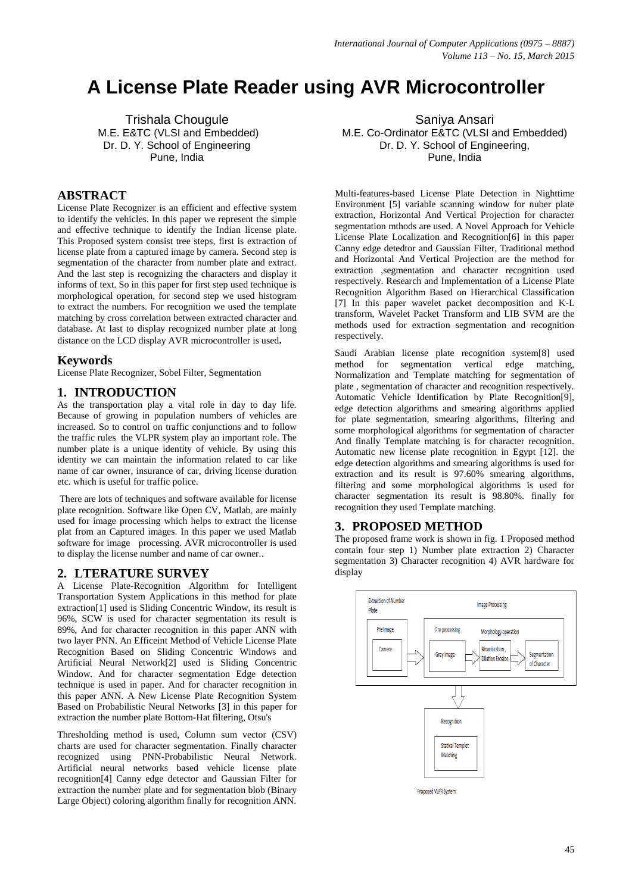# **A License Plate Reader using AVR Microcontroller**

Trishala Chougule M.E. E&TC (VLSI and Embedded) Dr. D. Y. School of Engineering Pune, India

# **ABSTRACT**

License Plate Recognizer is an efficient and effective system to identify the vehicles. In this paper we represent the simple and effective technique to identify the Indian license plate. This Proposed system consist tree steps, first is extraction of license plate from a captured image by camera. Second step is segmentation of the character from number plate and extract. And the last step is recognizing the characters and display it informs of text. So in this paper for first step used technique is morphological operation, for second step we used histogram to extract the numbers. For recognition we used the template matching by cross correlation between extracted character and database. At last to display recognized number plate at long distance on the LCD display AVR microcontroller is used**.**

## **Keywords**

License Plate Recognizer, Sobel Filter, Segmentation

## **1. INTRODUCTION**

As the transportation play a vital role in day to day life. Because of growing in population numbers of vehicles are increased. So to control on traffic conjunctions and to follow the traffic rules the VLPR system play an important role. The number plate is a unique identity of vehicle. By using this identity we can maintain the information related to car like name of car owner, insurance of car, driving license duration etc. which is useful for traffic police.

There are lots of techniques and software available for license plate recognition. Software like Open CV, Matlab, are mainly used for image processing which helps to extract the license plat from an Captured images. In this paper we used Matlab software for image processing. AVR microcontroller is used to display the license number and name of car owner..

## **2. LTERATURE SURVEY**

A License Plate-Recognition Algorithm for Intelligent Transportation System Applications in this method for plate extraction[1] used is Sliding Concentric Window, its result is 96%, SCW is used for character segmentation its result is 89%, And for character recognition in this paper ANN with two layer PNN. An Efficeint Method of Vehicle License Plate Recognition Based on Sliding Concentric Windows and Artificial Neural Network[2] used is Sliding Concentric Window. And for character segmentation Edge detection technique is used in paper. And for character recognition in this paper ANN. A New License Plate Recognition System Based on Probabilistic Neural Networks [3] in this paper for extraction the number plate Bottom-Hat filtering, Otsu's

Thresholding method is used, Column sum vector (CSV) charts are used for character segmentation. Finally character recognized using PNN-Probabilistic Neural Network. Artificial neural networks based vehicle license plate recognition[4] Canny edge detector and Gaussian Filter for extraction the number plate and for segmentation blob (Binary Large Object) coloring algorithm finally for recognition ANN.

Saniya Ansari M.E. Co-Ordinator E&TC (VLSI and Embedded) Dr. D. Y. School of Engineering, Pune, India

Multi-features-based License Plate Detection in Nighttime Environment [5] variable scanning window for nuber plate extraction, Horizontal And Vertical Projection for character segmentation mthods are used. A Novel Approach for Vehicle License Plate Localization and Recognition[6] in this paper Canny edge detedtor and Gaussian Filter, Traditional method and Horizontal And Vertical Projection are the method for extraction ,segmentation and character recognition used respectively. Research and Implementation of a License Plate Recognition Algorithm Based on Hierarchical Classification [7] In this paper wavelet packet decomposition and K-L transform, Wavelet Packet Transform and LIB SVM are the methods used for extraction segmentation and recognition respectively.

Saudi Arabian license plate recognition system[8] used method for segmentation vertical edge matching, Normalization and Template matching for segmentation of plate , segmentation of character and recognition respectively. Automatic Vehicle Identification by Plate Recognition[9], edge detection algorithms and smearing algorithms applied for plate segmentation, smearing algorithms, filtering and some morphological algorithms for segmentation of character And finally Template matching is for character recognition. Automatic new license plate recognition in Egypt [12]. the edge detection algorithms and smearing algorithms is used for extraction and its result is 97.60% smearing algorithms, filtering and some morphological algorithms is used for character segmentation its result is 98.80%. finally for recognition they used Template matching.

#### **3. PROPOSED METHOD**

The proposed frame work is shown in fig. 1 Proposed method contain four step 1) Number plate extraction 2) Character segmentation 3) Character recognition 4) AVR hardware for display

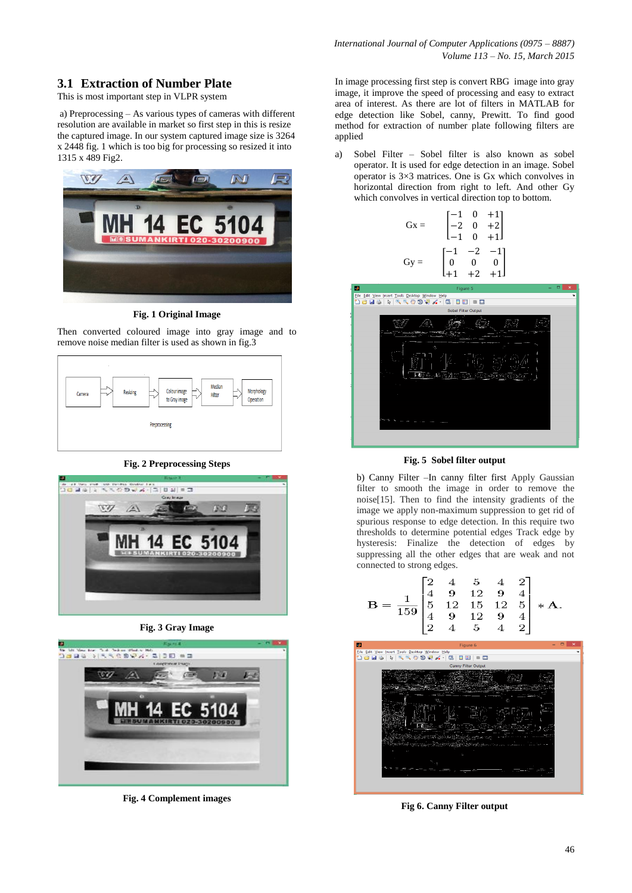# **3.1 Extraction of Number Plate**

This is most important step in VLPR system

a) Preprocessing – As various types of cameras with different resolution are available in market so first step in this is resize the captured image. In our system captured image size is 3264 x 2448 fig. 1 which is too big for processing so resized it into 1315 x 489 Fig2.



**Fig. 1 Original Image**

Then converted coloured image into gray image and to remove noise median filter is used as shown in fig.3



#### **Fig. 2 Preprocessing Steps**



**Fig. 3 Gray Image**



**Fig. 4 Complement images**

In image processing first step is convert RBG image into gray image, it improve the speed of processing and easy to extract area of interest. As there are lot of filters in MATLAB for edge detection like Sobel, canny, Prewitt. To find good method for extraction of number plate following filters are applied

a) Sobel Filter – Sobel filter is also known as sobel operator. It is used for edge detection in an image. Sobel operator is 3×3 matrices. One is Gx which convolves in horizontal direction from right to left. And other Gy which convolves in vertical direction top to bottom.

| $Gx =$ |                                                           |      | $\begin{bmatrix} -1 & 0 & +1 \\ -2 & 0 & +2 \\ -1 & 0 & +1 \end{bmatrix}$ |
|--------|-----------------------------------------------------------|------|---------------------------------------------------------------------------|
| $Gy =$ | $\begin{bmatrix} -1 & -2 & -1 \\ 0 & 0 & 0 \end{bmatrix}$ | $+2$ | $\pm$ 1                                                                   |



**Fig. 5 Sobel filter output**

b) Canny Filter –In canny filter first Apply Gaussian filter to smooth the image in order to remove the noise[15]. Then to find the intensity gradients of the image we apply non-maximum suppression to get rid of spurious response to edge detection. In this require two thresholds to determine potential edges Track edge by hysteresis: Finalize the detection of edges by suppressing all the other edges that are weak and not connected to strong edges.



**Fig 6. Canny Filter output**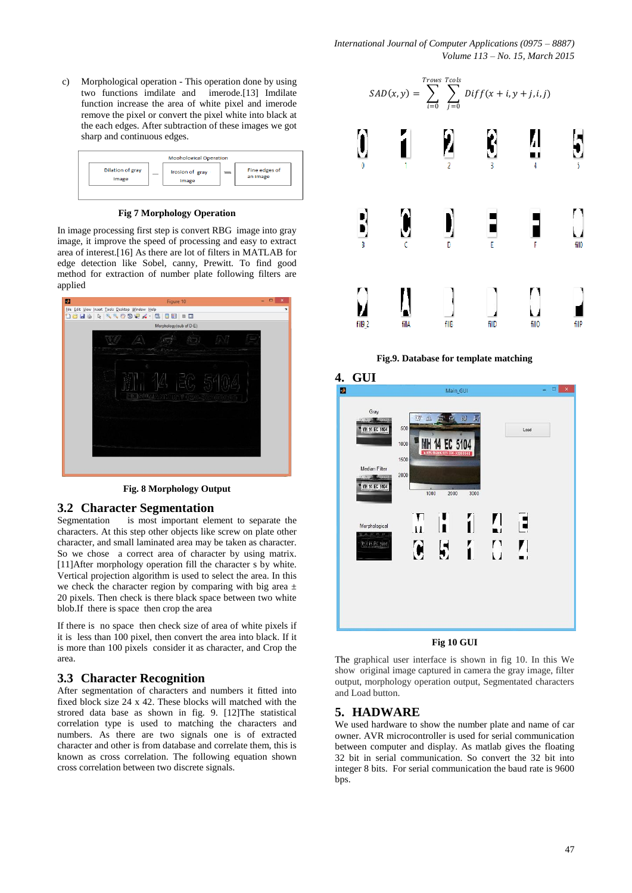c) Morphological operation - This operation done by using two functions imdilate and imerode.[13] Imdilate function increase the area of white pixel and imerode remove the pixel or convert the pixel white into black at the each edges. After subtraction of these images we got sharp and continuous edges.

|                                  | <b>Mophological Operation</b> |                           |
|----------------------------------|-------------------------------|---------------------------|
| <b>Dilation of gray</b><br>Image | Irosion of gray<br>Image      | Fine edges of<br>an image |
|                                  |                               |                           |

**Fig 7 Morphology Operation** 

In image processing first step is convert RBG image into gray image, it improve the speed of processing and easy to extract area of interest.[16] As there are lot of filters in MATLAB for edge detection like Sobel, canny, Prewitt. To find good method for extraction of number plate following filters are applied



**Fig. 8 Morphology Output**

# **3.2 Character Segmentation**

Segmentation is most important element to separate the characters. At this step other objects like screw on plate other character, and small laminated area may be taken as character. So we chose a correct area of character by using matrix. [11]After morphology operation fill the character s by white. Vertical projection algorithm is used to select the area. In this we check the character region by comparing with big area  $\pm$ 20 pixels. Then check is there black space between two white blob.If there is space then crop the area

If there is no space then check size of area of white pixels if it is less than 100 pixel, then convert the area into black. If it is more than 100 pixels consider it as character, and Crop the area.

# **3.3 Character Recognition**

After segmentation of characters and numbers it fitted into fixed block size 24 x 42. These blocks will matched with the strored data base as shown in fig. 9. [12]The statistical correlation type is used to matching the characters and numbers. As there are two signals one is of extracted character and other is from database and correlate them, this is known as cross correlation. The following equation shown cross correlation between two discrete signals.



**Fig.9. Database for template matching**



#### **Fig 10 GUI**

The graphical user interface is shown in fig 10. In this We show original image captured in camera the gray image, filter output, morphology operation output, Segmentated characters and Load button.

#### **5. HADWARE**

We used hardware to show the number plate and name of car owner. AVR microcontroller is used for serial communication between computer and display. As matlab gives the floating 32 bit in serial communication. So convert the 32 bit into integer 8 bits. For serial communication the baud rate is 9600 bps.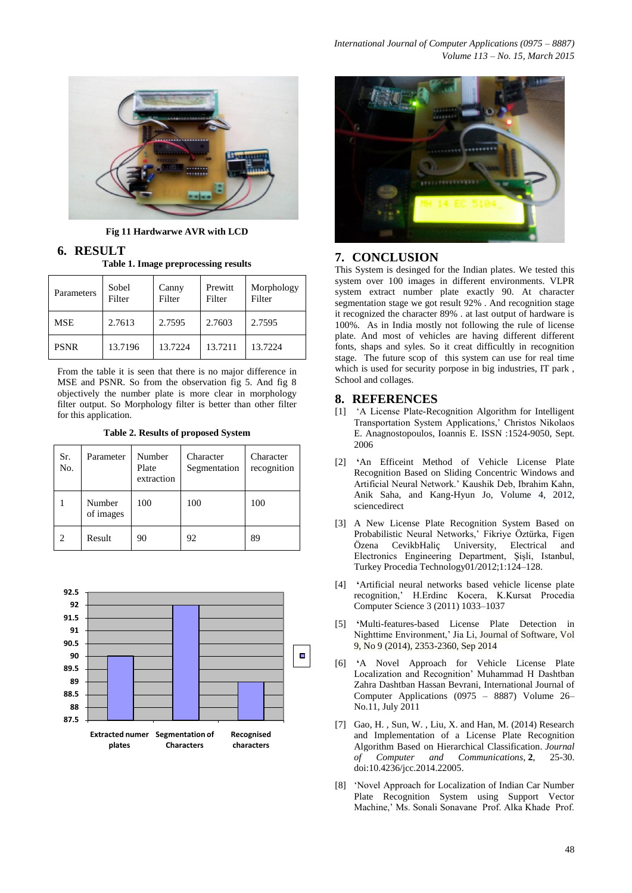

**Fig 11 Hardwarwe AVR with LCD**

**6. RESULT**

**Table 1. Image preprocessing results**

| Parameters  | Sobel<br>Filter | Canny<br>Filter | Prewitt<br>Filter | Morphology<br>Filter |
|-------------|-----------------|-----------------|-------------------|----------------------|
| <b>MSE</b>  | 2.7613          | 2.7595          | 2.7603            | 2.7595               |
| <b>PSNR</b> | 13.7196         | 13.7224         | 13.7211           | 13.7224              |

From the table it is seen that there is no major difference in MSE and PSNR. So from the observation fig 5. And fig 8 objectively the number plate is more clear in morphology filter output. So Morphology filter is better than other filter for this application.

**Table 2. Results of proposed System** 

| Sr.<br>No.    | Parameter           | Number<br>Plate<br>extraction | Character<br>Segmentation | Character<br>recognition |
|---------------|---------------------|-------------------------------|---------------------------|--------------------------|
|               | Number<br>of images | 100                           | 100                       | 100                      |
| $\mathcal{D}$ | Result              | 90                            | 92                        | 89                       |





## **7. CONCLUSION**

This System is desinged for the Indian plates. We tested this system over 100 images in different environments. VLPR system extract number plate exactly 90. At character segmentation stage we got result 92% . And recognition stage it recognized the character 89% . at last output of hardware is 100%. As in India mostly not following the rule of license plate. And most of vehicles are having different different fonts, shaps and syles. So it creat difficultly in recognition stage. The future scop of this system can use for real time which is used for security porpose in big industries, IT park, School and collages.

# **8. REFERENCES**

- [1] "A License Plate-Recognition Algorithm for Intelligent Transportation System Applications," Christos Nikolaos E. Anagnostopoulos, Ioannis E. ISSN :1524-9050, Sept. 2006
- [2] **'**An Efficeint Method of Vehicle License Plate Recognition Based on Sliding Concentric Windows and Artificial Neural Network." Kaushik Deb, Ibrahim Kahn, Anik Saha, and Kang-Hyun Jo, Volume 4, 2012, sciencedirect
- [3] A New License Plate Recognition System Based on Probabilistic Neural Networks," Fikriye Öztürka, Figen Özena CevikbHaliç University, Electrical and Electronics Engineering Department, Şişli, Istanbul, Turkey Procedia Technology01/2012;1:124–128.
- [4] **'**Artificial neural networks based vehicle license plate recognition," H.Erdinc Kocera, K.Kursat Procedia Computer Science 3 (2011) 1033–1037
- [5] **'**Multi-features-based License Plate Detection in Nighttime Environment, Jia Li, Journal of Software, Vol. 9, No 9 (2014), 2353-2360, Sep 2014
- [6] **'**A Novel Approach for Vehicle License Plate Localization and Recognition" Muhammad H Dashtban Zahra Dashtban Hassan Bevrani, International Journal of Computer Applications (0975 – 8887) Volume 26– No.11, July 2011
- [7] Gao, H. , Sun, W. , Liu, X. and Han, M. (2014) Research and Implementation of a License Plate Recognition Algorithm Based on Hierarchical Classification. *Journal of Computer and Communications*, **2**, 25-30. doi:10.4236/jcc.2014.22005.
- [8] "Novel Approach for Localization of Indian Car Number Plate Recognition System using Support Vector Machine," Ms. Sonali Sonavane Prof. Alka Khade Prof.